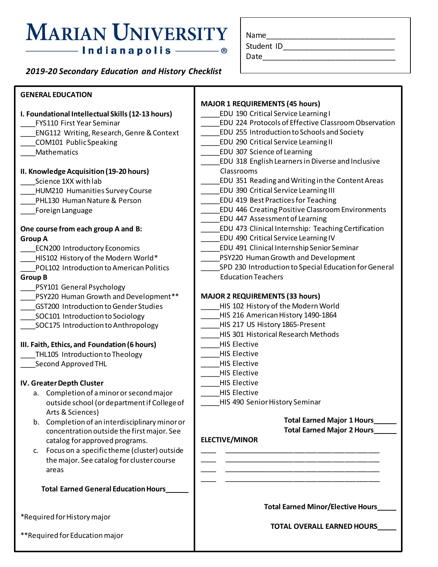# **MARIAN UNIVERSITY**

| Name       |  |
|------------|--|
| Student ID |  |
| Date       |  |
|            |  |

| — Indianapolis —                                                   | - ®                       | Date                                        |  |
|--------------------------------------------------------------------|---------------------------|---------------------------------------------|--|
| 2019-20 Secondary Education and History Checklist                  |                           |                                             |  |
|                                                                    |                           |                                             |  |
| <b>GENERAL EDUCATION</b>                                           | <b>MAJOR 1 REQUIREMEN</b> |                                             |  |
| I. Foundational Intellectual Skills (12-13 hours)                  |                           | EDU 190 Critical!                           |  |
| FYS110 First Year Seminar                                          |                           | EDU 224 Protoco                             |  |
| ENG112 Writing, Research, Genre & Context                          |                           | EDU 255 Introdu                             |  |
| COM101 PublicSpeaking                                              |                           | EDU 290 Critical!                           |  |
| Mathematics                                                        | EDU 307 Science           |                                             |  |
|                                                                    |                           | EDU 318 English                             |  |
| II. Knowledge Acquisition (19-20 hours)                            | Classrooms                |                                             |  |
| Science 1XX with lab                                               |                           | EDU 351 Reading                             |  |
| HUM210 Humanities Survey Course                                    |                           | EDU 390 Critical!                           |  |
| PHL130 Human Nature & Person                                       |                           | EDU 419 Best Pra                            |  |
| Foreign Language                                                   |                           | EDU 446 Creating                            |  |
|                                                                    |                           | EDU 447 Assessn                             |  |
| One course from each group A and B:                                |                           | EDU 473 Clinical                            |  |
| Group A                                                            |                           | EDU 490 Critical!                           |  |
| <b>ECN200 Introductory Economics</b>                               |                           | EDU 491 Clinical                            |  |
| HIS102 History of the Modern World*                                |                           | PSY220 Human G                              |  |
| POL102 Introduction to American Politics                           |                           | SPD 230 Introduc<br><b>Education Teache</b> |  |
| <b>Group B</b>                                                     |                           |                                             |  |
| PSY101 General Psychology<br>PSY220 Human Growth and Development** | <b>MAJOR 2 REQUIREMEN</b> |                                             |  |
| GST200 Introduction to Gender Studies                              |                           | HIS 102 History o                           |  |
| SOC101 Introduction to Sociology                                   |                           | HIS 216 Americal                            |  |
| SOC175 Introduction to Anthropology                                |                           | HIS 217 US Histo                            |  |
|                                                                    |                           | HIS 301 Historica                           |  |
| III. Faith, Ethics, and Foundation (6 hours)                       | <b>HIS Elective</b>       |                                             |  |
|                                                                    |                           |                                             |  |

## \_THL105 Introduction to Theology

\_\_\_\_Second Approved THL

#### **IV. Greater Depth Cluster**

- a. Completion of a minor or second major outside school (or department if College of Arts & Sciences)
- b. Completion of an interdisciplinary minor or concentration outside the first major. See catalog for approved programs.
- c. Focus on a specific theme (cluster) outside the major. See catalog for cluster course areas

 **Total Earned General Education Hours\_\_\_\_\_\_**

\*Required for History major

\*\*Required for Education major

#### **NTS (45 hours)** Service Learning I Is of Effective Classroom Observation

- ction to Schools and Society
- Service Learning II
- of Learning
- Learners in Diverse and Inclusive
- \_\_\_\_\_EDU 351 Reading and Writing in the Content Areas
- Service Learning III
- ctices for Teaching
- g Positive Classroom Environments
- nent of Learning
- Internship: Teaching Certification
- Service Learning IV
- Internship Senior Seminar
- rowth and Development
- \_\_\_\_\_SPD 230 Introduction to Special Education for General Education Teachers

### **NTS (33 hours)**

- \_\_\_\_\_HIS 102 History of the Modern World
- n History 1490-1864
- ry 1865-Present
- \_\_\_\_\_HIS 301 Historical Research Methods
- \_\_\_\_\_HIS Elective
- \_\_\_\_\_HIS Elective
- \_\_\_\_\_HIS Elective
- \_\_\_\_\_HIS Elective
- \_\_\_\_\_HIS Elective
- \_\_\_\_\_HIS Elective
- \_\_\_\_\_HIS 490 Senior History Seminar

\_\_\_\_ \_\_\_\_\_\_\_\_\_\_\_\_\_\_\_\_\_\_\_\_\_\_\_\_\_\_\_\_\_\_\_\_\_\_\_\_\_\_\_\_ \_\_\_\_ \_\_\_\_\_\_\_\_\_\_\_\_\_\_\_\_\_\_\_\_\_\_\_\_\_\_\_\_\_\_\_\_\_\_\_\_\_\_\_\_ \_\_\_\_ \_\_\_\_\_\_\_\_\_\_\_\_\_\_\_\_\_\_\_\_\_\_\_\_\_\_\_\_\_\_\_\_\_\_\_\_\_\_\_\_ \_\_\_\_ \_\_\_\_\_\_\_\_\_\_\_\_\_\_\_\_\_\_\_\_\_\_\_\_\_\_\_\_\_\_\_\_\_\_\_\_\_\_\_\_

**Total Earned Major 1 Hours\_\_\_\_\_\_ Total Earned Major 2 Hours\_\_\_\_\_\_**

# **ELECTIVE/MINOR**

**Total Earned Minor/Elective Hours\_\_\_\_\_**

**TOTAL OVERALL EARNED HOURS\_\_\_\_\_**